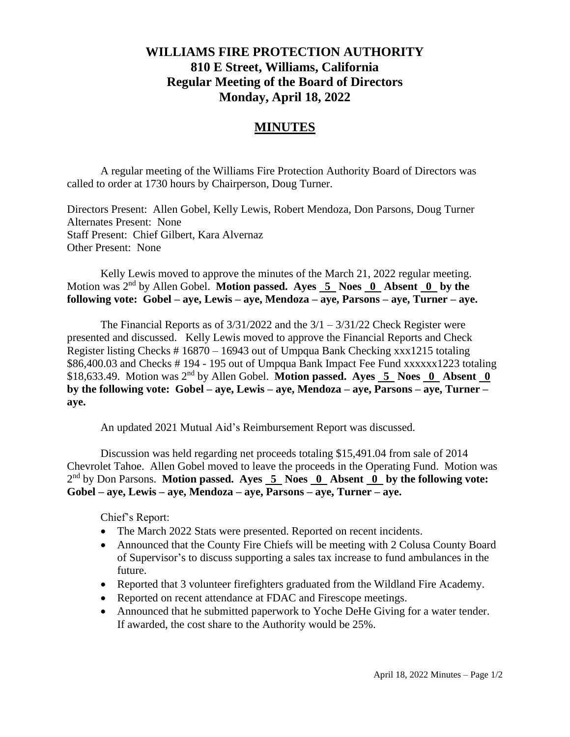## **WILLIAMS FIRE PROTECTION AUTHORITY 810 E Street, Williams, California Regular Meeting of the Board of Directors Monday, April 18, 2022**

## **MINUTES**

A regular meeting of the Williams Fire Protection Authority Board of Directors was called to order at 1730 hours by Chairperson, Doug Turner.

Directors Present: Allen Gobel, Kelly Lewis, Robert Mendoza, Don Parsons, Doug Turner Alternates Present: None Staff Present: Chief Gilbert, Kara Alvernaz Other Present: None

Kelly Lewis moved to approve the minutes of the March 21, 2022 regular meeting. Motion was 2nd by Allen Gobel. **Motion passed. Ayes 5 Noes 0 Absent 0 by the following vote: Gobel – aye, Lewis – aye, Mendoza – aye, Parsons – aye, Turner – aye.**

The Financial Reports as of  $3/31/2022$  and the  $3/1 - 3/31/22$  Check Register were presented and discussed. Kelly Lewis moved to approve the Financial Reports and Check Register listing Checks # 16870 – 16943 out of Umpqua Bank Checking xxx1215 totaling \$86,400.03 and Checks # 194 - 195 out of Umpqua Bank Impact Fee Fund xxxxxx1223 totaling \$18,633.49. Motion was 2<sup>nd</sup> by Allen Gobel. Motion passed. Ayes 5 Noes 0 Absent 0 **by the following vote: Gobel – aye, Lewis – aye, Mendoza – aye, Parsons – aye, Turner – aye.**

An updated 2021 Mutual Aid's Reimbursement Report was discussed.

Discussion was held regarding net proceeds totaling \$15,491.04 from sale of 2014 Chevrolet Tahoe. Allen Gobel moved to leave the proceeds in the Operating Fund. Motion was 2<sup>nd</sup> by Don Parsons. **Motion passed.** Ayes 5 Noes 0 Absent 0 by the following vote: **Gobel – aye, Lewis – aye, Mendoza – aye, Parsons – aye, Turner – aye.**

Chief's Report:

- The March 2022 Stats were presented. Reported on recent incidents.
- Announced that the County Fire Chiefs will be meeting with 2 Colusa County Board of Supervisor's to discuss supporting a sales tax increase to fund ambulances in the future.
- Reported that 3 volunteer firefighters graduated from the Wildland Fire Academy.
- Reported on recent attendance at FDAC and Firescope meetings.
- Announced that he submitted paperwork to Yoche DeHe Giving for a water tender. If awarded, the cost share to the Authority would be 25%.